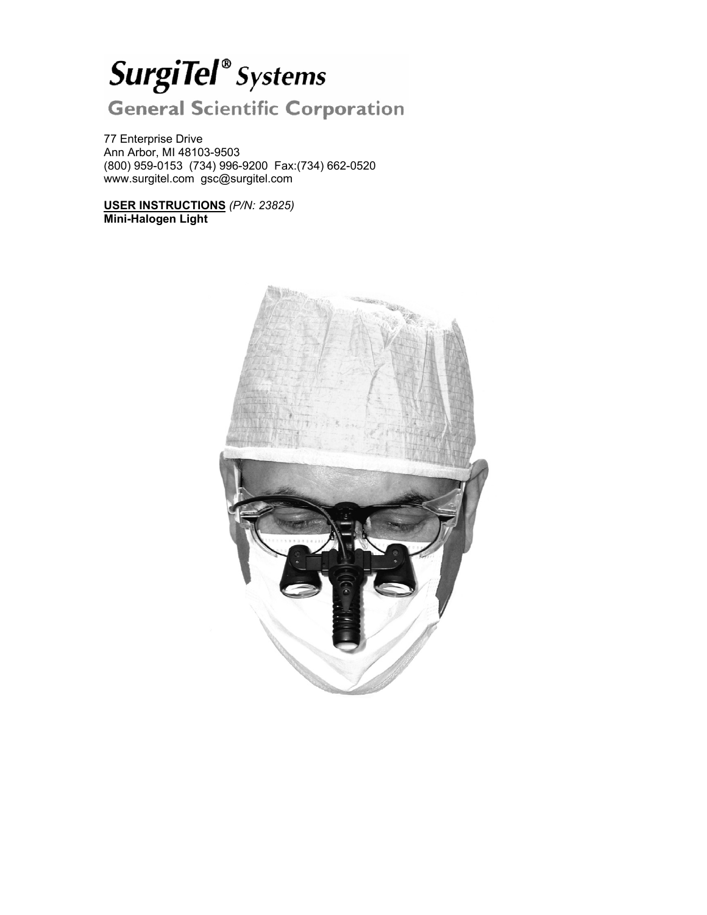# **SurgiTel®** Systems **General Scientific Corporation**

77 Enterprise Drive Ann Arbor, MI 48103-9503 (800) 959-0153 (734) 996-9200 Fax:(734) 662-0520 www.surgitel.com gsc@surgitel.com

**USER INSTRUCTIONS** *(P/N: 23825)* **Mini-Halogen Light**

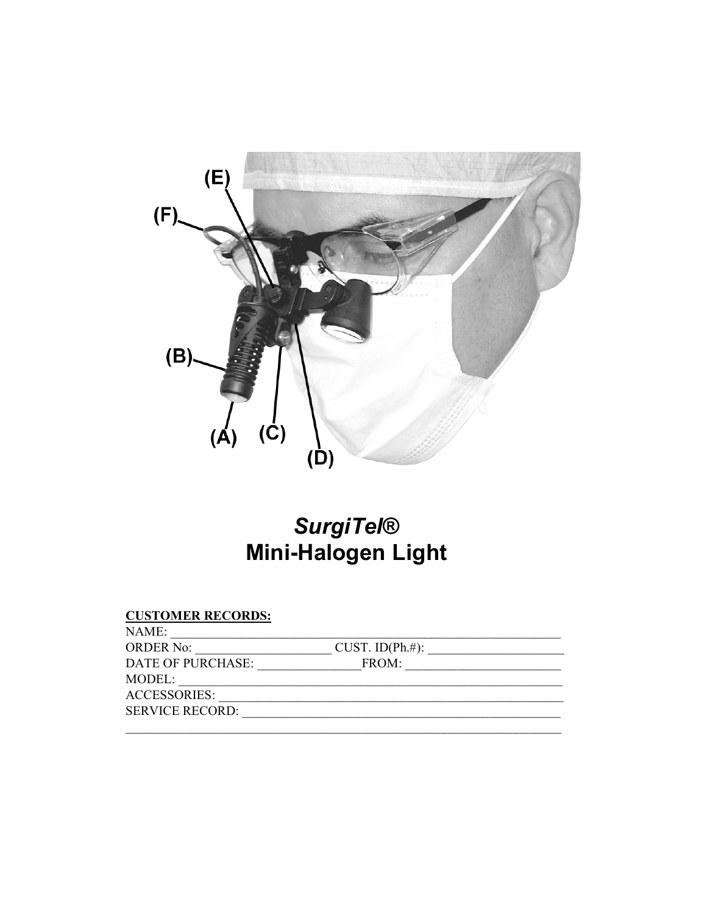

# **SurgiTel®** Mini-Halogen Light

### **CUSTOMER RECORDS:**

| NAME:                    |                       |  |
|--------------------------|-----------------------|--|
| <b>ORDER No:</b>         | CUST. ID $(Ph. \#)$ : |  |
| <b>DATE OF PURCHASE:</b> | FROM:                 |  |
| MODEL:                   |                       |  |
| <b>ACCESSORIES:</b>      |                       |  |
| <b>SERVICE RECORD:</b>   |                       |  |
|                          |                       |  |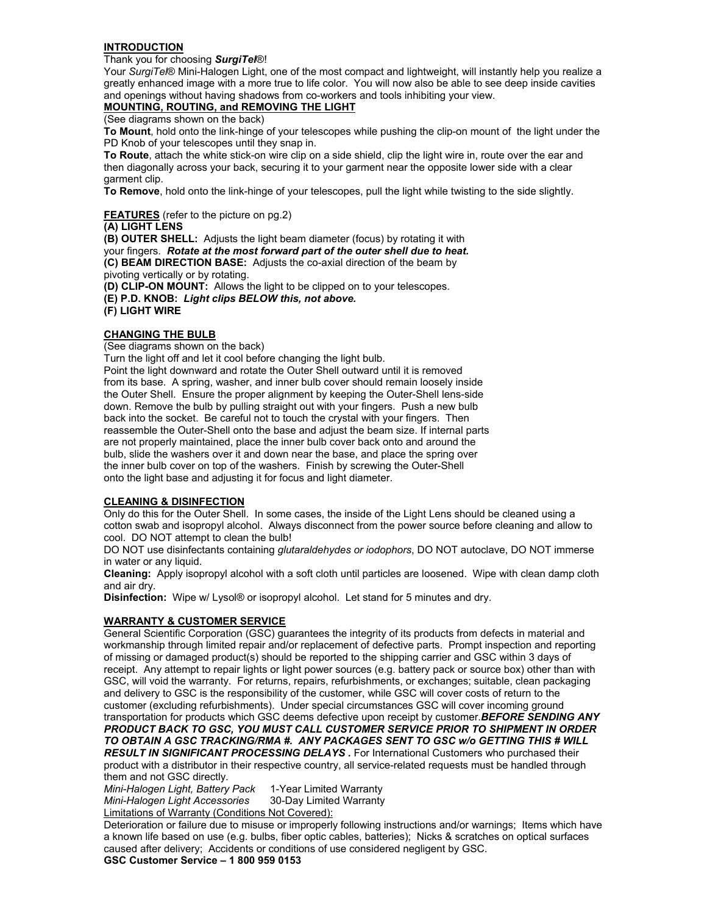#### **INTRODUCTION**

#### Thank you for choosing *SurgiTel*®!

Your *SurgiTel*® Mini-Halogen Light, one of the most compact and lightweight, will instantly help you realize a greatly enhanced image with a more true to life color. You will now also be able to see deep inside cavities and openings without having shadows from co-workers and tools inhibiting your view.

#### **MOUNTING, ROUTING, and REMOVING THE LIGHT**

(See diagrams shown on the back)

**To Mount**, hold onto the link-hinge of your telescopes while pushing the clip-on mount of the light under the PD Knob of your telescopes until they snap in.

**To Route**, attach the white stick-on wire clip on a side shield, clip the light wire in, route over the ear and then diagonally across your back, securing it to your garment near the opposite lower side with a clear garment clip.

**To Remove**, hold onto the link-hinge of your telescopes, pull the light while twisting to the side slightly.

**FEATURES** (refer to the picture on pg.2)

#### **(A) LIGHT LENS**

**(B) OUTER SHELL:** Adjusts the light beam diameter (focus) by rotating it with your fingers. *Rotate at the most forward part of the outer shell due to heat.*  **(C) BEAM DIRECTION BASE:** Adjusts the co-axial direction of the beam by pivoting vertically or by rotating.

**(D) CLIP-ON MOUNT:** Allows the light to be clipped on to your telescopes.

**(E) P.D. KNOB:** *Light clips BELOW this, not above.* 

**(F) LIGHT WIRE** 

#### **CHANGING THE BULB**

(See diagrams shown on the back)

Turn the light off and let it cool before changing the light bulb.

Point the light downward and rotate the Outer Shell outward until it is removed from its base. A spring, washer, and inner bulb cover should remain loosely inside the Outer Shell. Ensure the proper alignment by keeping the Outer-Shell lens-side down. Remove the bulb by pulling straight out with your fingers. Push a new bulb back into the socket. Be careful not to touch the crystal with your fingers. Then reassemble the Outer-Shell onto the base and adjust the beam size. If internal parts are not properly maintained, place the inner bulb cover back onto and around the bulb, slide the washers over it and down near the base, and place the spring over the inner bulb cover on top of the washers. Finish by screwing the Outer-Shell onto the light base and adjusting it for focus and light diameter.

#### **CLEANING & DISINFECTION**

Only do this for the Outer Shell. In some cases, the inside of the Light Lens should be cleaned using a cotton swab and isopropyl alcohol. Always disconnect from the power source before cleaning and allow to cool. DO NOT attempt to clean the bulb!

DO NOT use disinfectants containing *glutaraldehydes or iodophors*, DO NOT autoclave, DO NOT immerse in water or any liquid.

**Cleaning:** Apply isopropyl alcohol with a soft cloth until particles are loosened. Wipe with clean damp cloth and air dry.

**Disinfection:** Wipe w/ Lysol® or isopropyl alcohol. Let stand for 5 minutes and dry.

#### **WARRANTY & CUSTOMER SERVICE**

General Scientific Corporation (GSC) guarantees the integrity of its products from defects in material and workmanship through limited repair and/or replacement of defective parts. Prompt inspection and reporting of missing or damaged product(s) should be reported to the shipping carrier and GSC within 3 days of receipt. Any attempt to repair lights or light power sources (e.g. battery pack or source box) other than with GSC, will void the warranty. For returns, repairs, refurbishments, or exchanges; suitable, clean packaging and delivery to GSC is the responsibility of the customer, while GSC will cover costs of return to the customer (excluding refurbishments). Under special circumstances GSC will cover incoming ground transportation for products which GSC deems defective upon receipt by customer.*BEFORE SENDING ANY PRODUCT BACK TO GSC, YOU MUST CALL CUSTOMER SERVICE PRIOR TO SHIPMENT IN ORDER TO OBTAIN A GSC TRACKING/RMA #. ANY PACKAGES SENT TO GSC w/o GETTING THIS # WILL*  **RESULT IN SIGNIFICANT PROCESSING DELAYS.** For International Customers who purchased their product with a distributor in their respective country, all service-related requests must be handled through them and not GSC directly.

*Mini-Halogen Light, Battery Pack* 1-Year Limited Warranty *Mini-Halogen Light Accessories* 30-Day Limited Warranty Limitations of Warranty (Conditions Not Covered):

Deterioration or failure due to misuse or improperly following instructions and/or warnings; Items which have a known life based on use (e.g. bulbs, fiber optic cables, batteries); Nicks & scratches on optical surfaces caused after delivery; Accidents or conditions of use considered negligent by GSC.

**GSC Customer Service – 1 800 959 0153**